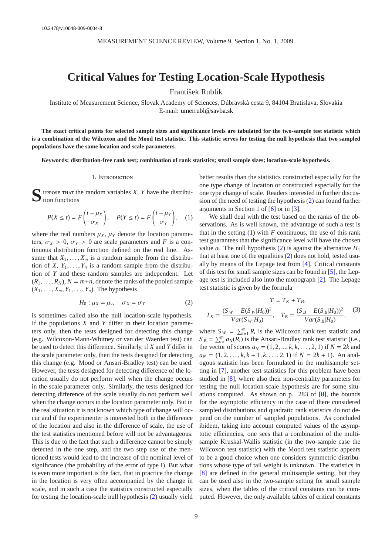# **Critical Values for Testing Location-Scale Hypothesis**

František Rublík

Institute of Measurement Science, Slovak Academy of Sciences, Dúbravská cesta 9, 84104 Bratislava, Slovakia E-mail: [umerrubl@savba.sk](mailto:umerrubl@savba.sk)

**The exact critical points for selected sample sizes and significance levels are tabulated for the two-sample test statistic which is a combination of the Wilcoxon and the Mood test statistic. This statistic serves for testing the null hypothesis that two sampled populations have the same location and scale parameters.**

**Keywords: distribution-free rank test; combination of rank statistics; small sample sizes; location-scale hypothesis.**

#### 1. Introduction

 $\sum$  uppose that the random variables *X*, *Y* have the distribution functions

<span id="page-0-1"></span>
$$
P(X \le t) = F\left(\frac{t - \mu_X}{\sigma_X}\right), \quad P(Y \le t) = F\left(\frac{t - \mu_Y}{\sigma_Y}\right), \quad (1)
$$

where the real numbers  $\mu_X$ ,  $\mu_Y$  denote the location parameters,  $\sigma_X > 0$ ,  $\sigma_Y > 0$  are scale parameters and *F* is a continuous distribution function defined on the real line. Assume that  $X_1, \ldots, X_m$  is a random sample from the distribution of *X*,  $Y_1, \ldots, Y_n$  is a random sample from the distribution of *Y* and these random samples are independent. Let  $(R_1, \ldots, R_N)$ ,  $N = m+n$ , denote the ranks of the pooled sample  $(X_1, \ldots, X_m, Y_1, \ldots, Y_n)$ . The hypothesis

<span id="page-0-0"></span>
$$
H_0: \mu_X = \mu_y, \quad \sigma_X = \sigma_Y \tag{2}
$$

is sometimes called also the null location-scale hypothesis. If the populations *X* and *Y* differ in their location parameters only, then the tests designed for detecting this change (e.g. Wilcoxon-Mann-Whitney or van der Waerden test) can be used to detect this difference. Similarly, if *X* and *Y* differ in the scale parameter only, then the tests designed for detecting this change (e.g. Mood or Ansari-Bradley test) can be used. However, the tests designed for detecting difference of the location usually do not perform well when the change occurs in the scale parameter only. Similarly, the tests designed for detecting difference of the scale usually do not perform well when the change occurs in the location parameter only. But in the real situation it is not known which type of change will occur and if the experimenter is interested both in the difference of the location and also in the difference of scale, the use of the test statistics mentioned before will not be advantageous. This is due to the fact that such a difference cannot be simply detected in the one step, and the two step use of the mentioned tests would lead to the increase of the nominal level of significance (the probability of the error of type I). But what is even more important is the fact, that in practice the change in the location is very often accompanied by the change in scale, and in such a case the statistics constructed especially for testing the location-scale null hypothesis [\(2\)](#page-0-0) usually yield better results than the statistics constructed especially for the one type change of location or constructed especially for the one type change of scale. Readers interested in further discussion of the need of testing the hypothesis [\(2\)](#page-0-0) can found further arguments in Section 1 of [\[6\]](#page-2-0) or in [\[3\]](#page-2-1).

We shall deal with the test based on the ranks of the observations. As is well known, the advantage of such a test is that in the setting  $(1)$  with *F* continuous, the use of this rank test guarantees that the significance level will have the chosen value  $\alpha$ . The null hypothesis [\(2\)](#page-0-0) is against the alternative  $H_1$ that at least one of the equalities [\(2\)](#page-0-0) does not hold, tested usually by means of the Lepage test from [\[4](#page-2-2)]. Critical constants of this test for small sample sizes can be found in [\[5\]](#page-2-3), the Lepage test is included also into the monograph [\[2](#page-2-4)]. The Lepage test statistic is given by the formula

<span id="page-0-2"></span>
$$
T = T_K + T_B,
$$
  
\n
$$
T_K = \frac{(S_W - E(S_W|H_0))^2}{Var(S_W|H_0)}, \quad T_B = \frac{(S_B - E(S_B|H_0))^2}{Var(S_B|H_0)},
$$
\n(3)

where  $S_W = \sum_{i=1}^m R_i$  is the Wilcoxon rank test statistic and  $S_B = \sum_{i=1}^{m} a_N(R_i)$  is the Ansari-Bradley rank test statistic (i.e., the vector of scores  $a_N = (1, 2, ..., k, k, ..., 2, 1)$  if  $N = 2k$  and  $a_N = (1, 2, \ldots, k, k + 1, k, \ldots, 2, 1)$  if  $N = 2k + 1$ ). An analogous statistic has been formulated in the multisample setting in [\[7\]](#page-2-5), another test statistics for this problem have been studied in [\[8](#page-2-6)], where also their non-centrality parameters for testing the null location-scale hypothesis are for some situations computed. As shown on p. 283 of [\[8](#page-2-6)], the bounds for the asymptotic efficiency in the case of there considered sampled distributions and quadratic rank statistics do not depend on the number of sampled populations. As concluded ibidem, taking into account computed values of the asymptotic efficiencies, one sees that a combination of the multisample Kruskal-Wallis statistic (in the two-sample case the Wilcoxon test statistic) with the Mood test statistic appears to be a good choice when one considers symmetric distributions whose type of tail weight is unknown. The statistics in [\[8\]](#page-2-6) are defined in the general multisample setting, but they can be used also in the two-sample setting for small sample sizes, when the tables of the critical constants can be computed. However, the only available tables of critical constants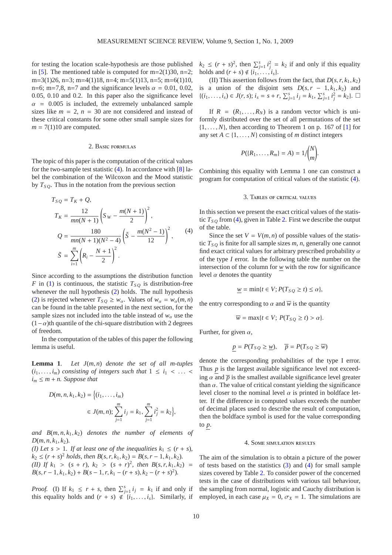for testing the location scale-hypothesis are those published in [\[5\]](#page-2-3). The mentioned table is computed for  $m=2(1)30$ ,  $n=2$ ; m=3(1)26, n=3; m=4(1)18, n=4; m=5(1)13, n=5; m=6(1)10, n=6; m=7,8, n=7 and the significance levels  $\alpha = 0.01, 0.02$ , 0.05, 0.10 and 0.2. In this paper also the significance level  $\alpha$  = 0.005 is included, the extremely unbalanced sample sizes like  $m = 2$ ,  $n = 30$  are not considered and instead of these critical constants for some other small sample sizes for  $m = 7(1)10$  are computed.

# 2. Basic formulas

The topic of this paper is the computation of the critical values for the two-sample test statistic  $(4)$ . In accordance with [\[8\]](#page-2-6) label the combination of the Wilcoxon and the Mood statistic by *TS Q*. Thus in the notation from the previous section

<span id="page-1-0"></span>
$$
T_{SQ} = T_K + Q,
$$
  
\n
$$
T_K = \frac{12}{mn(N+1)} \left( S_W - \frac{m(N+1)}{2} \right)^2,
$$
  
\n
$$
Q = \frac{180}{mn(N+1)(N^2-4)} \left( \tilde{S} - \frac{m(N^2-1)}{12} \right)^2,
$$
  
\n
$$
\tilde{S} = \sum_{i=1}^m \left( R_i - \frac{N+1}{2} \right)^2.
$$
 (4)

Since according to the assumptions the distribution function *F* in [\(1\)](#page-0-1) is continuous, the statistic  $T_{SQ}$  is distribution-free whenever the null hypothesis [\(2\)](#page-0-0) holds. The null hypothesis [\(2\)](#page-0-0) is rejected whenever  $T_{SQ} \geq w_\alpha$ . Values of  $w_\alpha = w_\alpha(m, n)$ can be found in the table presented in the next section, for the sample sizes not included into the table instead of  $w_\alpha$  use the  $(1-\alpha)$ th quantile of the chi-square distribution with 2 degrees of freedom.

In the computation of the tables of this paper the following lemma is useful.

**Lemma 1**. *Let J*(*m*, *n*) *denote the set of all m-tuples*  $(i_1, \ldots, i_m)$  *consisting of integers such that*  $1 \leq i_1 < \ldots <$  $i_m \leq m + n$ . Suppose that

$$
D(m, n, k_1, k_2) = \{(i_1, \dots, i_m) \in J(m, n); \sum_{j=1}^{m} i_j = k_1, \sum_{j=1}^{m} i_j^2 = k_2 \},\
$$

*and*  $B(m, n, k_1, k_2)$  *denotes the number of elements of*  $D(m, n, k_1, k_2)$ .

*(I) Let s* > 1*. If at least one of the inequalities*  $k_1 \leq (r + s)$ *,*  $k_2 \le (r + s)^2$  *holds, then*  $B(s, r, k_1, k_2) = B(s, r - 1, k_1, k_2)$ . *(II)* If  $k_1 > (s + r)$ ,  $k_2 > (s + r)^2$ , then  $B(s, r, k_1, k_2) =$  $B(s, r - 1, k_1, k_2) + B(s - 1, r, k_1 - (r + s), k_2 - (r + s)^2).$ 

*Proof.* (I) If  $k_1 \leq r + s$ , then  $\sum_{j=1}^s i_j = k_1$  if and only if this equality holds and  $(r + s) \notin \{i_1, \ldots, i_s\}$ . Similarly, if

 $k_2 \le (r + s)^2$ , then  $\sum_{j=1}^s i_j^2 = k_2$  if and only if this equality holds and  $(r + s) \notin \{i_1, \ldots, i_s\}.$ 

(II) This assertion follows from the fact, that  $D(s, r, k_1, k_2)$ is a union of the disjoint sets  $D(s, r - 1, k_1, k_2)$  and { $(i_1, ..., i_s)$  ∈  $J(r, s)$ ;  $i_s = s + r$ ,  $\sum_{j=1}^s i_j = k_1$ ,  $\sum_{j=1}^s i_j^2 = k_2$ }. □

If  $R = (R_1, \ldots, R_N)$  is a random vector which is uniformly distributed over the set of all permutations of the set  $\{1, \ldots, N\}$ , then according to Theorem 1 on p. 167 of [\[1](#page-2-7)] for any set  $A \subset \{1, \ldots, N\}$  consisting of *m* distinct integers

$$
P({R_1,\ldots,R_m}=A)=1/{\binom{N}{m}}.
$$

Combining this equality with Lemma 1 one can construct a program for computation of critical values of the statistic [\(4\)](#page-1-0).

# 3. Tables of critical values

In this section we present the exact critical values of the statistic  $T_{SO}$  from [\(4\)](#page-1-0), given in Table [2.](#page-3-0) First we describe the output of the table.

Since the set  $V = V(m, n)$  of possible values of the statistic  $T_{SO}$  is finite for all sample sizes  $m$ ,  $n$ , generally one cannot find exact critical values for arbitrary prescribed probability  $\alpha$ of the type *I* error. In the following table the number on the intersection of the column for *w* with the row for significance level  $\alpha$  denotes the quantity

$$
\underline{w} = \min\{t \in V; P(T_{SQ} \ge t) \le \alpha\},\
$$

the entry corresponding to  $\alpha$  and  $\overline{w}$  is the quantity

$$
\overline{w} = \max\{t \in V; \ P(T_{SQ} \ge t) > \alpha\}.
$$

Further, for given  $\alpha$ ,

$$
p = P(T_{SQ} \ge \underline{w}), \quad \overline{p} = P(T_{SQ} \ge \overline{w})
$$

denote the corresponding probabilities of the type I error. Thus *p* is the largest available significance level not exceeding  $\alpha$  and  $\bar{p}$  is the smallest available significance level greater than  $\alpha$ . The value of critical constant yielding the significance level closer to the nominal level  $\alpha$  is printed in boldface letter. If the difference in computed values exceeds the number of decimal places used to describe the result of computation, then the boldface symbol is used for the value corresponding to *p*.

# 4. Some simulation results

The aim of the simulation is to obtain a picture of the power of tests based on the statistics [\(3\)](#page-0-2) and [\(4\)](#page-1-0) for small sample sizes covered by Table [2.](#page-3-0) To consider power of the concerned tests in the case of distributions with various tail behaviour, the sampling from normal, logistic and Cauchy distribution is employed, in each case  $\mu_X = 0$ ,  $\sigma_X = 1$ . The simulations are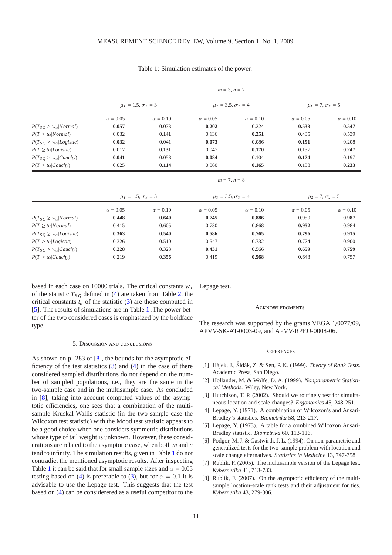|                                      | $m = 3, n = 7$              |                 |                 |                             |                           |                 |  |  |  |  |  |  |
|--------------------------------------|-----------------------------|-----------------|-----------------|-----------------------------|---------------------------|-----------------|--|--|--|--|--|--|
|                                      | $\mu_Y = 1.5, \sigma_Y = 3$ |                 |                 | $\mu_Y = 3.5, \sigma_Y = 4$ | $\mu_Y = 7, \sigma_Y = 5$ |                 |  |  |  |  |  |  |
|                                      | $\alpha = 0.05$             | $\alpha = 0.10$ | $\alpha = 0.05$ | $\alpha = 0.10$             | $\alpha=0.05$             | $\alpha = 0.10$ |  |  |  |  |  |  |
| $P(T_{SO} \geq w_{\alpha} Normal)$   | 0.057                       | 0.073           | 0.202           | 0.224                       | 0.533                     | 0.547           |  |  |  |  |  |  |
| $P(T \geq t\alpha Normal)$           | 0.032                       | 0.141           | 0.136           | 0.251                       | 0.435                     | 0.539           |  |  |  |  |  |  |
| $P(T_{SO} \geq w_{\alpha} Logistic)$ | 0.032                       | 0.041           | 0.073           | 0.086                       | 0.191                     | 0.208           |  |  |  |  |  |  |
| $P(T \geq ta Logistic)$              | 0.017                       | 0.131           | 0.047           | 0.170                       | 0.137                     | 0.247           |  |  |  |  |  |  |
| $P(T_{SO} \geq w_{\alpha} Cauchy)$   | 0.041                       | 0.058           | 0.084           | 0.104                       | 0.174                     | 0.197           |  |  |  |  |  |  |
| $P(T \geq ta Cauchy)$                | 0.025                       | 0.114           | 0.060           | 0.165                       | 0.138                     | 0.233           |  |  |  |  |  |  |
|                                      | $m = 7, n = 8$              |                 |                 |                             |                           |                 |  |  |  |  |  |  |
|                                      | $\mu_Y = 1.5, \sigma_Y = 3$ |                 |                 | $\mu_Y = 3.5, \sigma_Y = 4$ | $\mu_2 = 7, \sigma_2 = 5$ |                 |  |  |  |  |  |  |
|                                      | $\alpha=0.05$               | $\alpha=0.10$   | $\alpha = 0.05$ | $\alpha = 0.10$             | $\alpha=0.05$             | $\alpha=0.10$   |  |  |  |  |  |  |
| $P(T_{SQ} \geq w_{\alpha}   Normal)$ | 0.448                       | 0.640           | 0.745           | 0.886                       | 0.950                     | 0.987           |  |  |  |  |  |  |
| $P(T \geq t\alpha Normal)$           | 0.415                       | 0.605           | 0.730           | 0.868                       | 0.952                     | 0.984           |  |  |  |  |  |  |
| $P(T_{SO} \geq w_{\alpha} Logistic)$ | 0.363                       | 0.540           | 0.586           | 0.765                       | 0.796                     | 0.915           |  |  |  |  |  |  |
| $P(T \geq ta Logistic)$              | 0.326                       | 0.510           | 0.547           | 0.732                       | 0.774                     | 0.900           |  |  |  |  |  |  |
| $P(T_{SO} \geq w_{\alpha} Cauchy)$   | 0.228                       | 0.323           | 0.431           | 0.566                       | 0.659                     | 0.759           |  |  |  |  |  |  |
| $P(T \geq t\alpha Cauchy)$           | 0.219                       | 0.356           | 0.419           | 0.568                       | 0.643                     | 0.757           |  |  |  |  |  |  |

<span id="page-2-8"></span>Table 1: Simulation estimates of the power.

based in each case on 10000 trials. The critical constants  $w_\alpha$ of the statistic  $T_{SO}$  defined in [\(4\)](#page-1-0) are taken from Table [2,](#page-3-0) the critical constants  $t_\alpha$  of the statistic [\(3\)](#page-0-2) are those computed in [\[5](#page-2-3)]. The results of simulations are in Table [1](#page-2-8) .The power better of the two considered cases is emphasized by the boldface type.

#### 5. Discussion and conclusions

As shown on p. 283 of [\[8](#page-2-6)], the bounds for the asymptotic efficiency of the test statistics  $(3)$  and  $(4)$  in the case of there considered sampled distributions do not depend on the number of sampled populations, i.e., they are the same in the two-sample case and in the multisample case. As concluded in [\[8](#page-2-6)], taking into account computed values of the asymptotic efficiencies, one sees that a combination of the multisample Kruskal-Wallis statistic (in the two-sample case the Wilcoxon test statistic) with the Mood test statistic appears to be a good choice when one considers symmetric distributions whose type of tail weight is unknown. However, these considerations are related to the asymptotic case, when both *m* and *n* tend to infinity. The simulation results, given in Table [1](#page-2-8) do not contradict the mentioned asymptotic results. After inspecting Table [1](#page-2-8) it can be said that for small sample sizes and  $\alpha = 0.05$ testing based on [\(4\)](#page-1-0) is preferable to [\(3\)](#page-0-2), but for  $\alpha = 0.1$  it is advisable to use the Lepage test. This suggests that the test based on [\(4\)](#page-1-0) can be considerered as a useful competitor to the Lepage test.

#### **ACKNOWLEDGMENTS**

The research was supported by the grants VEGA 1/0077/09, APVV-SK-AT-0003-09, and APVV-RPEU-0008-06.

### **REFERENCES**

- <span id="page-2-7"></span>[1] Hájek, J., Šidák, Z. & Sen, P. K. (1999). *Theory of Rank Tests.* Academic Press, San Diego.
- <span id="page-2-4"></span>[2] Hollander, M. & Wolfe, D. A. (1999). *Nonparametric Statistical Methods.* Wiley, New York.
- <span id="page-2-1"></span>[3] Hutchison, T. P. (2002). Should we routinely test for simultaneous location and scale changes? *Ergonomics* 45, 248-251.
- <span id="page-2-2"></span>[4] Lepage, Y. (1971). A combination of Wilcoxon's and Ansari-Bradley's statistics. *Biometrika* 58, 213-217.
- <span id="page-2-3"></span>[5] Lepage, Y. (1973). A table for a combined Wilcoxon Ansari-Bradley statistic. *Biometrika* 60, 113-116.
- <span id="page-2-0"></span>[6] Podgor, M. J. & Gastwirth, J. L. (1994). On non-parametric and generalized tests for the two-sample problem with location and scale change alternatives. *Statistics in Medicine* 13, 747-758.
- <span id="page-2-5"></span>[7] Rublík, F. (2005). The multisample version of the Lepage test. *Kybernetika* 41, 713-733.
- <span id="page-2-6"></span>[8] Rublík, F. (2007). On the asymptotic efficiency of the multisample location-scale rank tests and their adjustment for ties. *Kybernetika* 43, 279-306.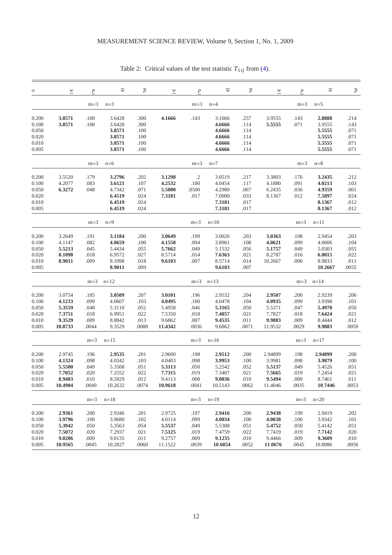| $\alpha$ | $\underline{w}$ | $\boldsymbol{p}$ | $\overline{w}$ | $\overline{p}$ | $\underline{w}$ | $\boldsymbol{p}$ | $\overline{w}$ | $\overline{p}$ | $\underline{w}$ | $\boldsymbol{p}$ | $\overline{w}$ | $\overline{p}$ |
|----------|-----------------|------------------|----------------|----------------|-----------------|------------------|----------------|----------------|-----------------|------------------|----------------|----------------|
|          |                 | $m=3$            | $n=3$          |                |                 | $m=3$            | $n=4$          |                |                 | $m=3$            | $n=5$          |                |
|          |                 |                  |                |                |                 |                  |                |                |                 |                  |                |                |
| 0.200    | 3.8571          | .100             | 3.6428         | .300           | 4.1666          | .143             | 3.1666         | .257           | 3.9555          | .143             | 2.8888         | .214           |
| 0.100    | 3.8571          | .100             | 3.6428         | .300           |                 |                  | 4.6666         | .114           | 5.5555          | .071             | 3.9555         | .143           |
| 0.050    |                 |                  | 3.8571         | .100           |                 |                  | 4.6666         | .114           |                 |                  | 5.5555         | .071           |
| 0.020    |                 |                  | 3.8571         | .100           |                 |                  | 4.6666         | .114           |                 |                  | 5.5555         | .071           |
| 0.010    |                 |                  | 3.8571         | .100           |                 |                  | 4.6666         | .114           |                 |                  | 5.5555         | .071           |
| 0.005    |                 |                  | 3.8571         | .100           |                 |                  | 4.6666         | .114           |                 |                  | 5.5555         | .071           |
|          |                 | $m=3$            | $n=6$          |                |                 | $m=3$            | $n=7$          |                |                 | $m=3$            | $n=8$          |                |
| 0.200    | 3.5520          | .179             | 3.2796         | .202           | 3.1298          | $\cdot$ .2       | 3.0519         | .217           | 3.3803          | .176             | 3.2435         | .212           |
| 0.100    | 4.2077          | .083             | 3.6121         | .107           | 4.2532          | .100             | 4.0454         | .117           | 4.1880          | .091             | 4.0213         | .103           |
| 0.050    | 6.3272          | .048             | 4.7342         | .071           | 5.5000          | .0500            | 4.2980         | .067           | 6.2435          | .036             | 4.9359         | .061           |
| 0.020    |                 |                  | 6.4519         | .024           | 7.3181          | .017             | 7.0000         | .033           | 8.1367          | .012             | 7.5897         | .024           |
| 0.010    |                 |                  | 6.4519         | .024           |                 |                  | 7.3181         | .017           |                 |                  | 8.1367         | .012           |
| 0.005    |                 |                  | 6.4519         | .024           |                 |                  | 7.3181         | .017           |                 |                  | 8.1367         | .012           |
|          |                 | $m=3$            | $n=9$          |                |                 | $m=3$            | $n=10$         |                |                 | $m=3$            | $n=11$         |                |
| 0.200    | 3.2649          | .191             | 3.1184         | .200           | 3.0649          | .199             | 3.0026         | .203           | 3.0363          | .198             | 2.9454         | .203           |
| 0.100    | 4.1147          | .082             | 4.0659         | .100           | 4.1558          | .094             | 3.8961         | .108           | 4.0621          | .099             | 4.0606         | .104           |
| 0.050    | 5.5213          | .045             | 5.4434         | .055           | 5.7662          | .049             | 5.1532         | .056           | 5.1757          | .049             | 5.0303         | .055           |
| 0.020    | 8.1098          | .018             | 6.9572         | .027           | 8.5714          | .014             | 7.6363         | .021           | 8.2787          | .016             | 6.8015         | .022           |
| 0.010    | 8.9011          | .009             | 8.1098         | .018           | 9.6103          | .007             | 8.5714         | .014           | 10.2667         | .006             | 8.9833         | .011           |
| 0.005    |                 |                  | 8.9011         | .009           |                 |                  | 9.6103         | .007           |                 |                  | 10.2667        | .0055          |
|          |                 |                  |                |                |                 |                  |                |                |                 |                  |                |                |
|          |                 | $m=3$            | $n = 12$       |                |                 | $m=3$            | $n=13$         |                |                 | $m=3$            | $n = 14$       |                |
| 0.200    | 3.0754          | .185             | 3.0509         | .207           | 3.0101          | .196             | 2.9532         | .204           | 2.9507          | .200             | 2.9239         | .206           |
| 0.100    | 4.1233          | .099             | 4.0607         | .103           | 4.0495          | .100             | 4.0478         | .104           | 4.0935          | .099             | 3.9398         | .101           |
| 0.050    | 5.3559          | .048             | 5.3110         | .052           | 5.4958          | .046             | 5.3165         | .050           | 5.5371          | .047             | 5.4970         | .050           |
| 0.020    | 7.3751          | .018             | 6.9951         | .022           | 7.5350          | .018             | 7.4057         | .021           | 7.7827          | .018             | 7.6424         | .021           |
| 0.010    | 9.3529          | .009             | 8.8842         | .013           | 9.6862          | .007             | 9.4535         | .011           | 9.9883          | .009             | 8.4444         | .012           |
| 0.005    | 10.8733         | .0044            | 9.3529         | .0088          | 11.4342         | .0036            | 9.6862         | .0071          | 11.9532         | .0029            | 9.9883         | .0059          |
|          |                 | $m=3$            | $n = 15$       |                |                 | $m=3$            | $n = 16$       |                |                 | $m=3$            | $n = 17$       |                |
| 0.200    | 2.9745          | .196             | 2.9535         | .201           | 2.9600          | .198             | 2.9512         | .200           | 2.94899         | .198             | 2.94899        | .200           |
| 0.100    | 4.1324          | .098             | 4.0342         | .103           | 4.0403          | .098             | 3.9953         | .100           | 3.9981          | .098             | 3.9879         | .100           |
| 0.050    | 5.5500          | .049             | 5.3508         | .051           | 5.3113          | .050             | 5.2542         | .052           | 5.5137          | .049             | 5.4526         | .051           |
| 0.020    | 7.7052          | .020             | 7.2552         | .022           | 7.7315          | .019             | 7.3407         | .021           | 7.5665          | .019             | 7.2454         | .021           |
| 0.010    | 8.9403          | .010             | 8.5929         | .012           | 9.4113          | .008             | 9.0836         | .010           | 9.5494          | .009             | 8.7461         | .011           |
| 0.005    | 10.4904         | .0049            | 10.2632        | .0074          | 10.9618         | .0041            | 10.5143        | .0062          | 11.4046         | .0035            | 10.7446        | .0053          |
|          |                 |                  |                |                |                 |                  |                |                |                 |                  |                |                |
|          |                 | $m=3$            | $n=18$         |                |                 | $m=3$            | $n=19$         |                |                 | $m=3$            | $n=20$         |                |
| 0.200    | 2.9361          | .200             | 2.9346         | .201           | 2.9725          | .197             | 2.9416         | .200           | 2.9438          | .199             | 2.9419         | .202           |
| 0.100    | 3.9796          | .100             | 3.9680         | .102           | 4.0114          | .099             | 4.0034         | .100           | 4.0038          | .100             | 3.9342         | .101           |
| 0.050    | 5.3942          | .050             | 5.3563         | .054           | 5.5537          | .049             | 5.5308         | .051           | 5.4752          | .050             | 5.4142         | .051           |
| 0.020    | 7.5072          | .020             | 7.2937         | .021           | 7.5125          | .019             | 7.4759         | .022           | 7.7419          | .019             | 7.7142         | .020           |
| 0.010    | 9.0206          | .009             | 9.0135         | .011           | 9.2757          | .009             | 9.1235         | .010           | 9.4466          | .009             | 9.3609         | .010           |
| 0.005    | 10.9565         | .0045            | 10.2827        | .0060          | 11.1522         | .0039            | 10.6854        | .0052          | 11.0676         | .0045            | 10.8086        | .0056          |

<span id="page-3-0"></span>Table 2: Critical values of the test statistic  $T_{SQ}$  from [\(4\)](#page-1-0).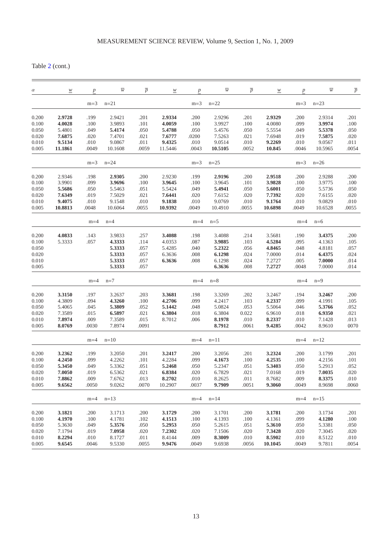Table [2](#page-3-0) (cont.)

| $\alpha$       | $\underline{w}$  | $\boldsymbol{p}$ | $\overline{w}$   | $\overline{p}$ | $\underline{\underline{w}}$ | $\boldsymbol{p}$   | $\overline{w}$   | $\overline{p}$   | $\underline{w}$  | $\boldsymbol{p}$ | $\overline{w}$   | $\overline{p}$ |
|----------------|------------------|------------------|------------------|----------------|-----------------------------|--------------------|------------------|------------------|------------------|------------------|------------------|----------------|
|                |                  | $m=3$            | $n = 21$         |                |                             | $m=3$              | $n = 22$         |                  |                  | $m=3$            | $n = 23$         |                |
|                |                  |                  |                  |                |                             |                    |                  |                  |                  |                  |                  |                |
| 0.200          | 2.9728           | .199             | 2.9421           | .201           | 2.9334                      | .200               | 2.9296           | .201             | 2.9329           | .200             | 2.9314           | .201           |
| 0.100          | 4.0028<br>5.4801 | .100<br>.049     | 3.9893<br>5.4174 | .101<br>.050   | 4.0059                      | $.100\,$<br>$.050$ | 3.9927           | $.100\,$<br>.050 | 4.0080           | .099             | 3.9974<br>5.5378 | .100           |
| 0.050<br>0.020 | 7.6875           | .020             | 7.4701           | .021           | 5.4788<br>7.6777            | .0200              | 5.4576<br>7.5263 | .021             | 5.5554<br>7.6948 | .049<br>.019     | 7.5875           | .050<br>.020   |
| 0.010          | 9.5134           | .010             | 9.0867           | .011           | 9.4325                      | .010               | 9.0514           | $.010\,$         | 9.2269           | .010             | 9.0567           | .011           |
| 0.005          | 11.1861          | .0049            | 10.1608          | .0059          | 11.5446                     | .0043              | 10.5105          | .0052            | 10.845           | .0046            | 10.5965          | .0054          |
|                |                  | $m=3$            | $n = 24$         |                |                             | $m=3$              | $n = 25$         |                  |                  | $m=3$            | $n=26$           |                |
|                |                  |                  |                  |                |                             |                    |                  |                  |                  |                  |                  |                |
| 0.200          | 2.9346           | .198             | 2.9305           | .200           | 2.9230                      | .199               | 2.9196           | .200             | 2.9518           | .200             | 2.9288           | .200           |
| 0.100          | 3.9901           | .099             | 3.9696           | .100           | 3.9645                      | .100               | 3.9645           | .101             | 3.9828           | .100             | 3.9775           | .100           |
| 0.050          | 5.5686           | .050             | 5.5463           | .051           | 5.5424                      | .049               | 5.4941           | .050             | 5.6001           | .050             | 5.5736           | .050           |
| 0.020          | 7.6349           | .019             | 7.5029           | .021           | 7.6441                      | .020               | 7.6152           | .020             | 7.7392           | .020             | 7.6155           | .020           |
| 0.010          | 9.4075           | .010             | 9.1548           | $.010$         | 9.1838                      | $.010$             | 9.0769           | $.010\,$         | 9.1764           | .010             | 9.0829           | .010           |
| 0.005          | 10.8813          | .0048            | 10.6064          | .0055          | 10.9392                     | .0049              | 10.4910          | .0055            | 10.6898          | .0049            | 10.6528          | .0055          |
|                |                  | $m=4$            | $n=4$            |                |                             | $m=4$              | $n=5$            |                  |                  | $m=4$            | $n=6$            |                |
| 0.200          | 4.0833           | .143             | 3.9833           | .257           | 3.4088                      | .198               | 3.4088           | .214             | 3.5681           | .190             | 3.4375           | .200           |
| 0.100          | 5.3333           | .057             | 4.3333           | .114           | 4.0353                      | $.087\,$           | 3.9885           | .103             | 4.5284           | .095             | 4.1363           | .105           |
| 0.050          |                  |                  | 5.3333           | .057           | 5.4285                      | .040               | 5.2322           | .056             | 4.8465           | .048             | 4.8181           | .057           |
| 0.020          |                  |                  | 5.3333           | .057           | 6.3636                      | $.008\,$           | 6.1298           | .024             | 7.0000           | .014             | 6.4375           | .024           |
| 0.010          |                  |                  | 5.3333           | .057           | 6.3636                      | $.008$             | 6.1298           | .024             | 7.2727           | .005             | 7.0000           | .014           |
| 0.005          |                  |                  | 5.3333           | .057           |                             |                    | 6.3636           | .008             | 7.2727           | .0048            | 7.0000           | .014           |
|                |                  | $m=4$            | $n=7$            |                |                             | $m=4$              | $n=8$            |                  |                  | $m=4$            | $n=9$            |                |
| 0.200          | 3.3150           | .197             | 3.2637           | .203           | 3.3681                      | .198               | 3.3269           | .202             | 3.2467           | .194             | 3.2467           | .200           |
| 0.100          | 4.3809           | .094             | 4.3260           | $.100\,$       | 4.2706                      | .099               | 4.2417           | .103             | 4.2337           | .099             | 4.1991           | .105           |
| 0.050          | 5.4065           | .045             | 5.3809           | .052           | 5.1442                      | .048               | 5.0824           | .053             | 5.5064           | .046             | 5.3766           | .052           |
| 0.020          | 7.3589           | .015             | 6.5897           | .021           | 6.3804                      | $.018\,$           | 6.3804           | 0.022            | 6.9610           | .018             | 6.9350           | .021           |
| 0.010          | 7.8974           | .009             | 7.3589           | .015           | 8.7012                      | .006               | 8.1978           | $.010\,$         | 8.2337           | .010             | 7.1428           | .013           |
| 0.005          | 8.0769           | .0030            | 7.8974           | .0091          |                             |                    | 8.7912           | .0061            | 9.4285           | .0042            | 8.9610           | 0070           |
|                |                  | $m=4$            | $n=10$           |                |                             | $m=4$              | $n = 11$         |                  |                  | $m=4$            | $n=12$           |                |
| 0.200          | 3.2362           | .199             | 3.2050           | .201           | 3.2417                      | .200               |                  | .201             | 3.2324           | .200             | 3.1799           | .201           |
| 0.100          | 4.2450           | .099             | 4.2262           | .101           | 4.2284                      | .099               | 3.2056<br>4.1673 | $.100\,$         | 4.2535           | .100             | 4.2156           | .101           |
| 0.050          | 5.3450           | .049             | 5.3362           | .051           | 5.2468                      | .050               | 5.2347           | .051             | 5.3403           | .050             | 5.2913           | .052           |
| 0.020          | 7.0050           | .019             | 6.5362           | .021           | 6.8384                      | .020               | 6.7829           | .021             | 7.0168           | .019             | 7.0035           | .020           |
| 0.010          | 7.8862           | .009             | 7.6762           | .013           | 8.2702                      | .010               | 8.2625           | .011             | 8.7682           | .009             | 8.3375           | .010           |
| 0.005          | 9.6562           | .0050            | 9.0262           | .0070          | 10.2907                     | .0037              | 9.7909           | .0051            | 9.3060           | .0049            | 8.9698           | .0060          |
|                |                  |                  |                  |                |                             |                    |                  |                  |                  |                  |                  |                |
|                |                  | $m=4$            | $n = 13$         |                |                             | $m=4$              | $n = 14$         |                  |                  | $m=4$            | $n = 15$         |                |
| 0.200          | 3.1821           | .200             | 3.1713           | .200           | 3.1729                      | .200               | 3.1701           | .200             | 3.1781           | .200             | 3.1734           | .201           |
| 0.100          | 4.1970           | .100             | 4.1781           | .102           | 4.1513                      | .100               | 4.1393           | $.100\,$         | 4.1361           | .099             | 4.1280           | .100           |
| 0.050          | 5.3630           | .049             | 5.3576           | .050           | 5.2953                      | .050               | 5.2615           | .051             | 5.3610           | .050             | 5.3381           | .050           |
| 0.020          | 7.1794           | .019             | 7.0958           | .020           | 7.2302                      | .020               | 7.1506           | .020             | 7.3428           | .020             | 7.3045           | .020           |
| 0.010          | 8.2294           | .010             | 8.1727           | .011           | 8.4144                      | .009               | 8.3009           | .010             | 8.5902           | .010             | 8.5122           | .010           |
| 0.005          | 9.6545           | .0046            | 9.5330           | .0055          | 9.9476                      | .0049              | 9.6938           | .0056            | 10.1045          | .0049            | 9.7811           | .0054          |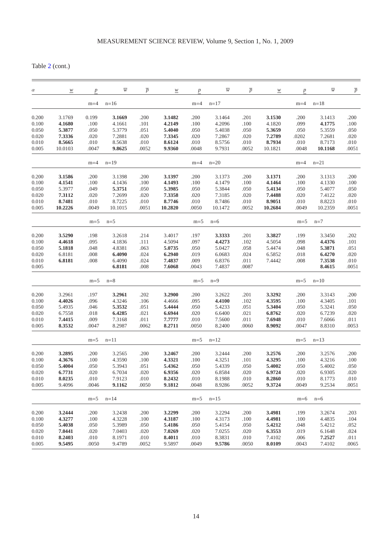Table [2](#page-3-0) (cont.)

| $\alpha$ | $\underline{w}$ | $\boldsymbol{p}$ | $\overline{w}$ | $\overline{p}$ | $\underline{\mathcal{W}}$ | $\boldsymbol{p}$ | $\overline{w}$ | $\overline{p}$ | $\underline{w}$ | $\boldsymbol{p}$ | $\overline{w}$ | $\overline{p}$ |
|----------|-----------------|------------------|----------------|----------------|---------------------------|------------------|----------------|----------------|-----------------|------------------|----------------|----------------|
|          |                 | $m=4$            | $n = 16$       |                |                           | $m=4$            | $n = 17$       |                |                 | $m=4$            | $n=18$         |                |
| 0.200    | 3.1769          | 0.199            | 3.1669         | .200           | 3.1482                    | .200             | 3.1464         | .201           | 3.1530          | .200             | 3.1413         | .200           |
| 0.100    | 4.1680          | .100             | 4.1661         | .101           | 4.2149                    | $.100\,$         | 4.2096         | .100           | 4.1820          | .099             | 4.1775         | .100           |
| 0.050    | 5.3877          | .050             | 5.3779         | .051           | 5.4040                    | .050             | 5.4038         | .050           | 5.3659          | .050             | 5.3559         | .050           |
| 0.020    | 7.3336          | .020             | 7.2881         | .020           | 7.3345                    | .020             | 7.2867         | .020           | 7.2789          | .0202            | 7.2681         | .020           |
| 0.010    | 8.5665          | .010             | 8.5638         | .010           | 8.6124                    | .010             | 8.5756         | .010           | 8.7934          | $.010\,$         | 8.7173         | .010           |
| 0.005    | 10.0103         | .0047            | 9.8625         | .0052          | 9.9360                    | .0048            | 9.7931         | .0052          | 10.1821         | .0048            | 10.1168        | .0051          |
|          |                 | $m=4$            | $n = 19$       |                |                           | $m=4$            | $n=20$         |                |                 | $m=4$            | $n=21$         |                |
| 0.200    | 3.1586          | .200             | 3.1398         | .200           | 3.1397                    | .200             | 3.1373         | .200           | 3.1371          | .200             | 3.1313         | .200           |
| 0.100    | 4.1541          | .100             | 4.1436         | .100           | 4.1493                    | $.100\,$         | 4.1479         | .100           | 4.1464          | $.100\,$         | 4.1330         | .100           |
| 0.050    | 5.3977          | .049             | 5.3751         | .050           | 5.3985                    | .050             | 5.3844         | .050           | 5.4134          | .050             | 5.4077         | .050           |
| 0.020    | 7.3112          | .020             | 7.2699         | .020           | 7.3358                    | .020             | 7.3185         | .020           | 7.4488          | .020             | 7.4122         | .020           |
| 0.010    | 8.7481          | .010             | 8.7225         | .010           | 8.7746                    | .010             | 8.7486         | .010           | 8.9051          | .010             | 8.8223         | .010           |
| 0.005    | 10.2226         | .0049            | 10.1015        | .0051          | 10.2820                   | .0050            | 10.1472        | .0052          | 10.2684         | .0049            | 10.2359        | .0051          |
|          |                 | $m=5$            | $n=5$          |                |                           | $m=5$            | $n=6$          |                |                 | $m=5$            | $n=7$          |                |
| 0.200    | 3.5290          | .198             | 3.2618         | .214           | 3.4017                    | .197             | 3.3333         | .201           | 3.3827          | .199             | 3.3450         | .202           |
| 0.100    | 4.4618          | .095             | 4.1836         | .111           | 4.5094                    | .097             | 4.4273         | .102           | 4.5054          | .098             | 4.4376         | .101           |
| 0.050    | 5.1818          | .048             | 4.8381         | .063           | 5.0735                    | .050             | 5.0427         | .058           | 5.4474          | .048             | 5.3871         | .051           |
| 0.020    | 6.8181          | .008             | 6.4090         | .024           | 6.2940                    | .019             | 6.0683         | .024           | 6.5852          | $.018\,$         | 6.4270         | .020           |
| 0.010    | 6.8181          | .008             | 6.4090         | .024           | 7.4837                    | .009             | 6.8376         | .011           | 7.4442          | $.008$           | 7.3538         | .010           |
| 0.005    |                 |                  | 6.8181         | .008           | 7.6068                    | .0043            | 7.4837         | .0087          |                 |                  | 8.4615         | .0051          |
|          |                 | $m=5$            | $n=8$          |                |                           | $m=5$            | $n=9$          |                |                 | $m=5$            | $n=10$         |                |
| 0.200    | 3.2961          | .197             | 3.2961         | .202           | 3.2900                    | .200             | 3.2622         | .201           | 3.3292          | .200             | 3.3143         | .200           |
| 0.100    | 4.4026          | .096             | 4.3246         | $.106$         | 4.4666                    | .095             | 4.4100         | .102           | 4.3595          | $.100\,$         | 4.3405         | .101           |
| 0.050    | 5.4935          | .046             | 5.3532         | .051           | 5.4444                    | .050             | 5.4233         | .051           | 5.3404          | .050             | 5.3241         | .050           |
| 0.020    | 6.7558          | .018             | 6.4285         | .021           | 6.6944                    | .020             | 6.6400         | .021           | 6.8762          | .020             | 6.7239         | .020           |
| 0.010    | 7.4415          | .009             | 7.3168         | .011           | 7.7777                    | .010             | 7.5600         | .011           | 7.6948          | .010             | 7.6066         | .011           |
| 0.005    | 8.3532          | .0047            | 8.2987         | .0062          | 8.2711                    | .0050            | 8.2400         | .0060          | 8.9092          | .0047            | 8.8310         | .0053          |
|          |                 | $m=5$            | $n=11$         |                |                           | $m=5$            | $n=12$         |                |                 | $m=5$            | $n = 13$       |                |
| 0.200    | 3.2895          | .200             | 3.2565         | .200           | 3.2467                    | .200             | 3.2444         | .200           | 3.2576          | .200             | 3.2576         | .200           |
| 0.100    | 4.3676          | .100             | 4.3590         | .100           | 4.3321                    | $.100\,$         | 4.3251         | .101           | 4.3295          | $.100\,$         | 4.3216         | .100           |
| 0.050    | 5.4004          | .050             | 5.3943         | .051           | 5.4362                    | .050             | 5.4339         | .050           | 5.4002          | .050             | 5.4002         | .050           |
| 0.020    | 6.7731          | .020             | 6.7034         | .020           | 6.9356                    | .020             | 6.8584         | .020           | 6.9724          | .020             | 6.9305         | .020           |
| 0.010    | 8.0235          | .010             | 7.9123         | .010           | 8.2432                    | .010             | 8.1988         | .010           | 8.2860          | .010             | 8.1773         | .010           |
| 0.005    | 9.4096          | .0046            | 9.1162         | .0050          | 9.1812                    | .0048            | 8.9286         | .0052          | 9.3724          | .0049            | 9.2534         | .0051          |
|          |                 | $m=5$            | $n = 14$       |                |                           | $m=5$            | $n = 15$       |                |                 | $m=6$            | $n=6$          |                |
| 0.200    | 3.2444          | .200             | 3.2438         | .200           | 3.2299                    | .200             | 3.2294         | .200           | 3.4981          | .199             | 3.2674         | .203           |
| 0.100    | 4.3277          | .100             | 4.3228         | .100           | 4.3187                    | .100             | 4.3173         | .100           | 4.4981          | .100             | 4.4835         | .104           |
| 0.050    | 5.4038          | .050             | 5.3989         | .050           | 5.4186                    | .050             | 5.4154         | .050           | 5.4212          | .048             | 5.4212         | .052           |
| 0.020    | 7.0441          | .020             | 7.0403         | .020           | 7.0269                    | .020             | 7.0255         | .020           | 6.3553          | .019             | 6.1648         | .024           |
| 0.010    | 8.2403          | .010             | 8.1971         | .010           | 8.4011                    | .010             | 8.3831         | .010           | 7.4102          | .006             | 7.2527         | .011           |
| 0.005    | 9.5495          | .0050            | 9.4789         | .0052          | 9.5897                    | .0049            | 9.5786         | .0050          | 8.0109          | .0043            | 7.4102         | .0065          |